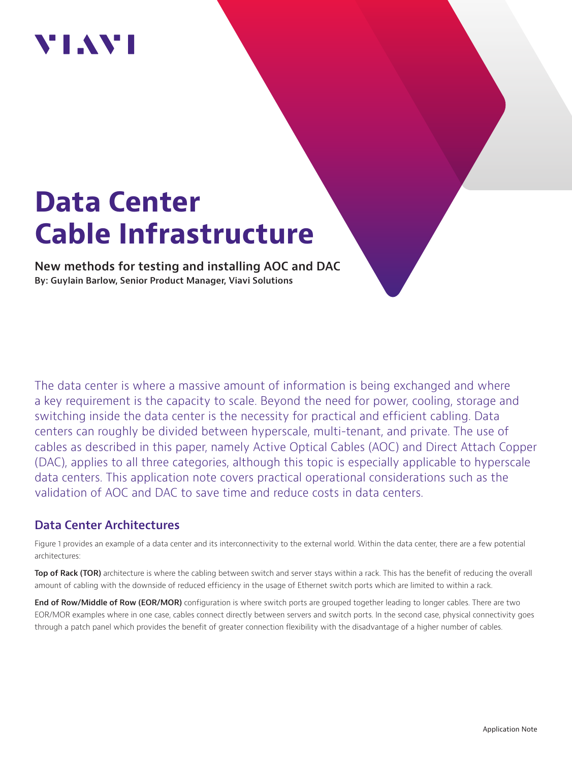## VIAVI

# **Data Center Cable Infrastructure**

**New methods for testing and installing AOC and DAC By: Guylain Barlow, Senior Product Manager, Viavi Solutions**

The data center is where a massive amount of information is being exchanged and where a key requirement is the capacity to scale. Beyond the need for power, cooling, storage and switching inside the data center is the necessity for practical and efficient cabling. Data centers can roughly be divided between hyperscale, multi-tenant, and private. The use of cables as described in this paper, namely Active Optical Cables (AOC) and Direct Attach Copper (DAC), applies to all three categories, although this topic is especially applicable to hyperscale data centers. This application note covers practical operational considerations such as the validation of AOC and DAC to save time and reduce costs in data centers.

## **Data Center Architectures**

Figure 1 provides an example of a data center and its interconnectivity to the external world. Within the data center, there are a few potential architectures:

**Top of Rack (TOR)** architecture is where the cabling between switch and server stays within a rack. This has the benefit of reducing the overall amount of cabling with the downside of reduced efficiency in the usage of Ethernet switch ports which are limited to within a rack.

**End of Row/Middle of Row (EOR/MOR)** configuration is where switch ports are grouped together leading to longer cables. There are two EOR/MOR examples where in one case, cables connect directly between servers and switch ports. In the second case, physical connectivity goes through a patch panel which provides the benefit of greater connection flexibility with the disadvantage of a higher number of cables.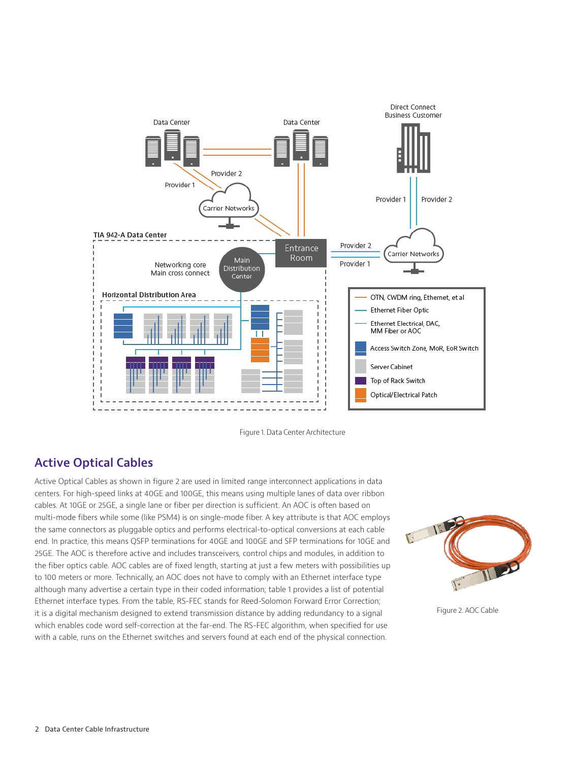

Figure 1. Data Center Architecture

## **Active Optical Cables**

Active Optical Cables as shown in figure 2 are used in limited range interconnect applications in data centers. For high-speed links at 40GE and 100GE, this means using multiple lanes of data over ribbon cables. At 10GE or 25GE, a single lane or fiber per direction is sufficient. An AOC is often based on multi-mode fibers while some (like PSM4) is on single-mode fiber. A key attribute is that AOC employs the same connectors as pluggable optics and performs electrical-to-optical conversions at each cable end. In practice, this means QSFP terminations for 40GE and 100GE and SFP terminations for 10GE and 25GE. The AOC is therefore active and includes transceivers, control chips and modules, in addition to the fiber optics cable. AOC cables are of fixed length, starting at just a few meters with possibilities up to 100 meters or more. Technically, an AOC does not have to comply with an Ethernet interface type although many advertise a certain type in their coded information; table 1 provides a list of potential Ethernet interface types. From the table, RS-FEC stands for Reed-Solomon Forward Error Correction; it is a digital mechanism designed to extend transmission distance by adding redundancy to a signal which enables code word self-correction at the far-end. The RS-FEC algorithm, when specified for use with a cable, runs on the Ethernet switches and servers found at each end of the physical connection.



Figure 2. AOC Cable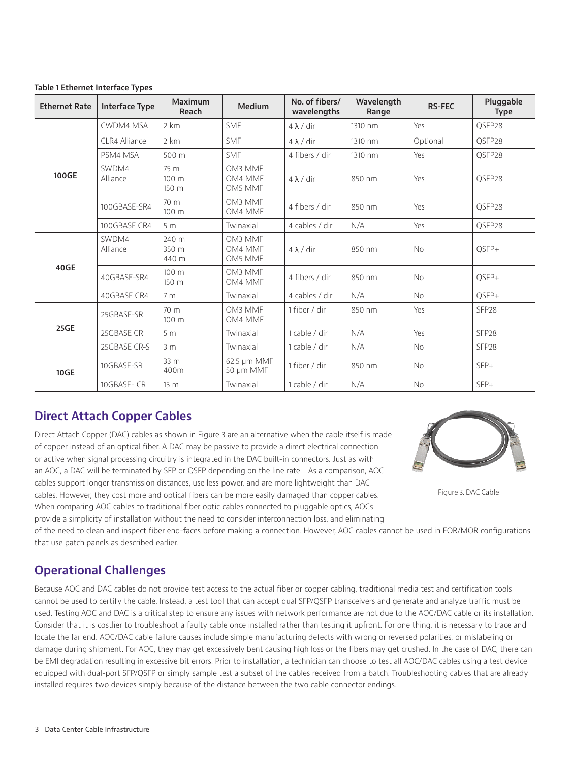| <b>Ethernet Rate</b> | <b>Interface Type</b> | Maximum<br>Reach         | Medium                        | No. of fibers/<br>wavelengths | Wavelength<br>Range | <b>RS-FEC</b> | Pluggable<br><b>Type</b> |
|----------------------|-----------------------|--------------------------|-------------------------------|-------------------------------|---------------------|---------------|--------------------------|
| 100GE                | <b>CWDM4 MSA</b>      | 2 km                     | <b>SMF</b>                    | $4 \lambda$ / dir             | 1310 nm             | Yes           | OSFP28                   |
|                      | CLR4 Alliance         | 2 km                     | <b>SMF</b>                    | $4 \lambda$ / dir             | 1310 nm             | Optional      | OSFP28                   |
|                      | PSM4 MSA              | 500 m                    | <b>SMF</b>                    | 4 fibers / dir                | 1310 nm             | Yes           | QSFP28                   |
|                      | SWDM4<br>Alliance     | 75 m<br>100 m<br>150 m   | OM3 MMF<br>OM4 MMF<br>OM5 MMF | $4 \lambda$ / dir             | 850 nm              | Yes           | QSFP28                   |
|                      | 100GBASE-SR4          | 70 m<br>100 <sub>m</sub> | OM3 MMF<br>OM4 MMF            | 4 fibers / dir                | 850 nm              | Yes           | QSFP28                   |
|                      | 100GBASE CR4          | 5 <sub>m</sub>           | Twinaxial                     | 4 cables / dir                | N/A                 | Yes           | QSFP28                   |
| 40GE                 | SWDM4<br>Alliance     | 240 m<br>350 m<br>440 m  | OM3 MMF<br>OM4 MMF<br>OM5 MMF | $4 \lambda$ / dir             | 850 nm              | <b>No</b>     | QSFP+                    |
|                      | 40GBASE-SR4           | 100 m<br>150 m           | OM3 MMF<br>OM4 MMF            | 4 fibers / dir                | 850 nm              | <b>No</b>     | OSFP+                    |
|                      | 40GBASE CR4           | 7 <sub>m</sub>           | Twinaxial                     | 4 cables / dir                | N/A                 | <b>No</b>     | QSFP+                    |
| 25GE                 | 25GBASE-SR            | 70 m<br>100 m            | OM3 MMF<br>OM4 MMF            | 1 fiber / dir                 | 850 nm              | Yes           | SFP <sub>28</sub>        |
|                      | 25GBASE CR            | 5 <sub>m</sub>           | Twinaxial                     | 1 cable / dir                 | N/A                 | Yes           | SFP <sub>28</sub>        |
|                      | 25GBASE CR-S          | 3 <sub>m</sub>           | Twinaxial                     | 1 cable / dir                 | N/A                 | No            | SFP <sub>28</sub>        |
| <b>10GE</b>          | 10GBASE-SR            | 33 m<br>400m             | 62.5 µm MMF<br>50 µm MMF      | 1 fiber / dir                 | 850 nm              | <b>No</b>     | $SFP+$                   |
|                      | 10GBASE-CR            | 15 <sub>m</sub>          | Twinaxial                     | 1 cable / dir                 | N/A                 | <b>No</b>     | SFP+                     |

#### **Table 1 Ethernet Interface Types**

## **Direct Attach Copper Cables**

Direct Attach Copper (DAC) cables as shown in Figure 3 are an alternative when the cable itself is made of copper instead of an optical fiber. A DAC may be passive to provide a direct electrical connection or active when signal processing circuitry is integrated in the DAC built-in connectors. Just as with an AOC, a DAC will be terminated by SFP or QSFP depending on the line rate. As a comparison, AOC cables support longer transmission distances, use less power, and are more lightweight than DAC cables. However, they cost more and optical fibers can be more easily damaged than copper cables. When comparing AOC cables to traditional fiber optic cables connected to pluggable optics, AOCs provide a simplicity of installation without the need to consider interconnection loss, and eliminating



Figure 3. DAC Cable

of the need to clean and inspect fiber end-faces before making a connection. However, AOC cables cannot be used in EOR/MOR configurations that use patch panels as described earlier.

## **Operational Challenges**

Because AOC and DAC cables do not provide test access to the actual fiber or copper cabling, traditional media test and certification tools cannot be used to certify the cable. Instead, a test tool that can accept dual SFP/QSFP transceivers and generate and analyze traffic must be used. Testing AOC and DAC is a critical step to ensure any issues with network performance are not due to the AOC/DAC cable or its installation. Consider that it is costlier to troubleshoot a faulty cable once installed rather than testing it upfront. For one thing, it is necessary to trace and locate the far end. AOC/DAC cable failure causes include simple manufacturing defects with wrong or reversed polarities, or mislabeling or damage during shipment. For AOC, they may get excessively bent causing high loss or the fibers may get crushed. In the case of DAC, there can be EMI degradation resulting in excessive bit errors. Prior to installation, a technician can choose to test all AOC/DAC cables using a test device equipped with dual-port SFP/QSFP or simply sample test a subset of the cables received from a batch. Troubleshooting cables that are already installed requires two devices simply because of the distance between the two cable connector endings.